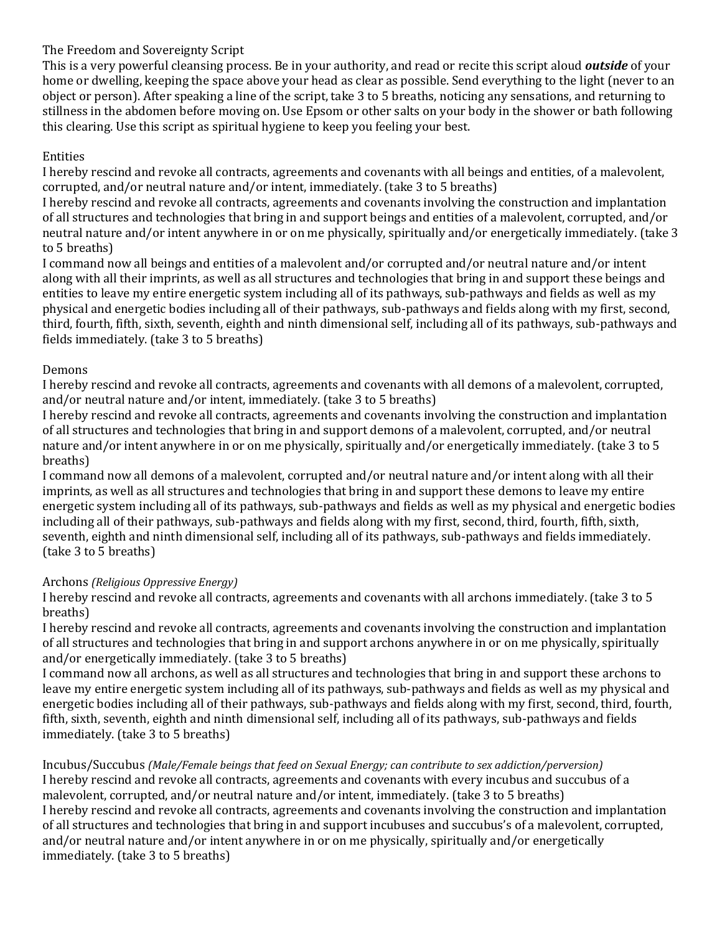## The Freedom and Sovereignty Script

This is a very powerful cleansing process. Be in your authority, and read or recite this script aloud *outside* of your home or dwelling, keeping the space above your head as clear as possible. Send everything to the light (never to an object or person). After speaking a line of the script, take 3 to 5 breaths, noticing any sensations, and returning to stillness in the abdomen before moving on. Use Epsom or other salts on your body in the shower or bath following this clearing. Use this script as spiritual hygiene to keep you feeling your best.

# Entities

I hereby rescind and revoke all contracts, agreements and covenants with all beings and entities, of a malevolent, corrupted, and/or neutral nature and/or intent, immediately. (take 3 to 5 breaths)

I hereby rescind and revoke all contracts, agreements and covenants involving the construction and implantation of all structures and technologies that bring in and support beings and entities of a malevolent, corrupted, and/or neutral nature and/or intent anywhere in or on me physically, spiritually and/or energetically immediately. (take 3 to 5 breaths)

I command now all beings and entities of a malevolent and/or corrupted and/or neutral nature and/or intent along with all their imprints, as well as all structures and technologies that bring in and support these beings and entities to leave my entire energetic system including all of its pathways, sub-pathways and fields as well as my physical and energetic bodies including all of their pathways, sub-pathways and fields along with my first, second, third, fourth, fifth, sixth, seventh, eighth and ninth dimensional self, including all of its pathways, sub-pathways and fields immediately. (take 3 to 5 breaths)

### Demons

I hereby rescind and revoke all contracts, agreements and covenants with all demons of a malevolent, corrupted, and/or neutral nature and/or intent, immediately. (take 3 to 5 breaths)

I hereby rescind and revoke all contracts, agreements and covenants involving the construction and implantation of all structures and technologies that bring in and support demons of a malevolent, corrupted, and/or neutral nature and/or intent anywhere in or on me physically, spiritually and/or energetically immediately. (take 3 to 5 breaths)

I command now all demons of a malevolent, corrupted and/or neutral nature and/or intent along with all their imprints, as well as all structures and technologies that bring in and support these demons to leave my entire energetic system including all of its pathways, sub-pathways and fields as well as my physical and energetic bodies including all of their pathways, sub-pathways and fields along with my first, second, third, fourth, fifth, sixth, seventh, eighth and ninth dimensional self, including all of its pathways, sub-pathways and fields immediately. (take 3 to 5 breaths)

## Archons *(Religious Oppressive Energy)*

I hereby rescind and revoke all contracts, agreements and covenants with all archons immediately. (take 3 to 5 breaths)

I hereby rescind and revoke all contracts, agreements and covenants involving the construction and implantation of all structures and technologies that bring in and support archons anywhere in or on me physically, spiritually and/or energetically immediately. (take 3 to 5 breaths)

I command now all archons, as well as all structures and technologies that bring in and support these archons to leave my entire energetic system including all of its pathways, sub-pathways and fields as well as my physical and energetic bodies including all of their pathways, sub-pathways and fields along with my first, second, third, fourth, fifth, sixth, seventh, eighth and ninth dimensional self, including all of its pathways, sub-pathways and fields immediately. (take 3 to 5 breaths)

Incubus/Succubus *(Male/Female beings that feed on Sexual Energy; can contribute to sex addiction/perversion)* I hereby rescind and revoke all contracts, agreements and covenants with every incubus and succubus of a malevolent, corrupted, and/or neutral nature and/or intent, immediately. (take 3 to 5 breaths) I hereby rescind and revoke all contracts, agreements and covenants involving the construction and implantation of all structures and technologies that bring in and support incubuses and succubus's of a malevolent, corrupted, and/or neutral nature and/or intent anywhere in or on me physically, spiritually and/or energetically immediately. (take 3 to 5 breaths)